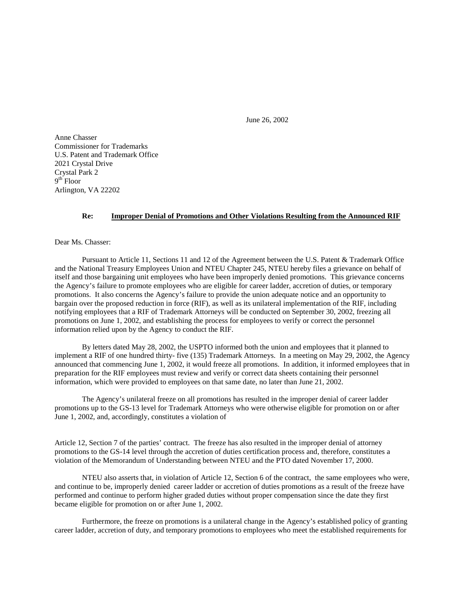June 26, 2002

Anne Chasser Commissioner for Trademarks U.S. Patent and Trademark Office 2021 Crystal Drive Crystal Park 2  $9<sup>th</sup>$  Floor Arlington, VA 22202

## **Re: Improper Denial of Promotions and Other Violations Resulting from the Announced RIF**

Dear Ms. Chasser:

Pursuant to Article 11, Sections 11 and 12 of the Agreement between the U.S. Patent & Trademark Office and the National Treasury Employees Union and NTEU Chapter 245, NTEU hereby files a grievance on behalf of itself and those bargaining unit employees who have been improperly denied promotions. This grievance concerns the Agency's failure to promote employees who are eligible for career ladder, accretion of duties, or temporary promotions. It also concerns the Agency's failure to provide the union adequate notice and an opportunity to bargain over the proposed reduction in force (RIF), as well as its unilateral implementation of the RIF, including notifying employees that a RIF of Trademark Attorneys will be conducted on September 30, 2002, freezing all promotions on June 1, 2002, and establishing the process for employees to verify or correct the personnel information relied upon by the Agency to conduct the RIF.

By letters dated May 28, 2002, the USPTO informed both the union and employees that it planned to implement a RIF of one hundred thirty- five (135) Trademark Attorneys. In a meeting on May 29, 2002, the Agency announced that commencing June 1, 2002, it would freeze all promotions. In addition, it informed employees that in preparation for the RIF employees must review and verify or correct data sheets containing their personnel information, which were provided to employees on that same date, no later than June 21, 2002.

The Agency's unilateral freeze on all promotions has resulted in the improper denial of career ladder promotions up to the GS-13 level for Trademark Attorneys who were otherwise eligible for promotion on or after June 1, 2002, and, accordingly, constitutes a violation of

Article 12, Section 7 of the parties' contract. The freeze has also resulted in the improper denial of attorney promotions to the GS-14 level through the accretion of duties certification process and, therefore, constitutes a violation of the Memorandum of Understanding between NTEU and the PTO dated November 17, 2000.

NTEU also asserts that, in violation of Article 12, Section 6 of the contract, the same employees who were, and continue to be, improperly denied career ladder or accretion of duties promotions as a result of the freeze have performed and continue to perform higher graded duties without proper compensation since the date they first became eligible for promotion on or after June 1, 2002.

Furthermore, the freeze on promotions is a unilateral change in the Agency's established policy of granting career ladder, accretion of duty, and temporary promotions to employees who meet the established requirements for